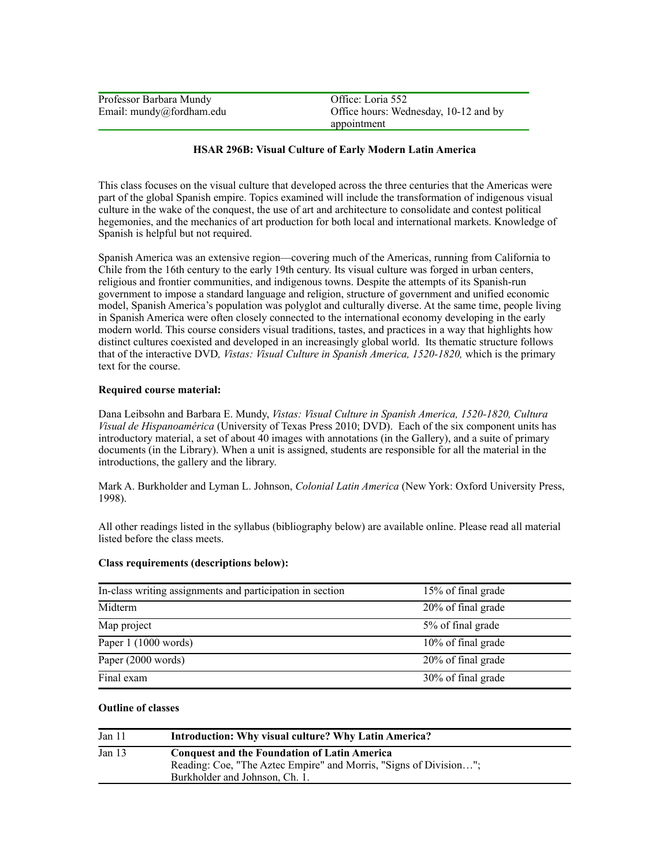| Professor Barbara Mundy  | Office: Loria 552                     |
|--------------------------|---------------------------------------|
| Email: mundy@fordham.edu | Office hours: Wednesday, 10-12 and by |
|                          | appointment                           |

# **HSAR 296B: Visual Culture of Early Modern Latin America**

This class focuses on the visual culture that developed across the three centuries that the Americas were part of the global Spanish empire. Topics examined will include the transformation of indigenous visual culture in the wake of the conquest, the use of art and architecture to consolidate and contest political hegemonies, and the mechanics of art production for both local and international markets. Knowledge of Spanish is helpful but not required.

Spanish America was an extensive region—covering much of the Americas, running from California to Chile from the 16th century to the early 19th century. Its visual culture was forged in urban centers, religious and frontier communities, and indigenous towns. Despite the attempts of its Spanish-run government to impose a standard language and religion, structure of government and unified economic model, Spanish America's population was polyglot and culturally diverse. At the same time, people living in Spanish America were often closely connected to the international economy developing in the early modern world. This course considers visual traditions, tastes, and practices in a way that highlights how distinct cultures coexisted and developed in an increasingly global world. Its thematic structure follows that of the interactive DVD*, Vistas: Visual Culture in Spanish America, 1520-1820,* which is the primary text for the course.

### **Required course material:**

Dana Leibsohn and Barbara E. Mundy, *Vistas: Visual Culture in Spanish America, 1520-1820, Cultura Visual de Hispanoamérica* (University of Texas Press 2010; DVD). Each of the six component units has introductory material, a set of about 40 images with annotations (in the Gallery), and a suite of primary documents (in the Library). When a unit is assigned, students are responsible for all the material in the introductions, the gallery and the library.

Mark A. Burkholder and Lyman L. Johnson, *Colonial Latin America* (New York: Oxford University Press, 1998).

All other readings listed in the syllabus (bibliography below) are available online. Please read all material listed before the class meets.

#### **Class requirements (descriptions below):**

| In-class writing assignments and participation in section | 15% of final grade |
|-----------------------------------------------------------|--------------------|
| Midterm                                                   | 20% of final grade |
| Map project                                               | 5% of final grade  |
| Paper 1 (1000 words)                                      | 10% of final grade |
| Paper (2000 words)                                        | 20% of final grade |
| Final exam                                                | 30% of final grade |

### **Outline of classes**

| Jan 11   | Introduction: Why visual culture? Why Latin America?                                                                                                       |  |
|----------|------------------------------------------------------------------------------------------------------------------------------------------------------------|--|
| Jan $13$ | <b>Conquest and the Foundation of Latin America</b><br>Reading: Coe, "The Aztec Empire" and Morris, "Signs of Division";<br>Burkholder and Johnson, Ch. 1. |  |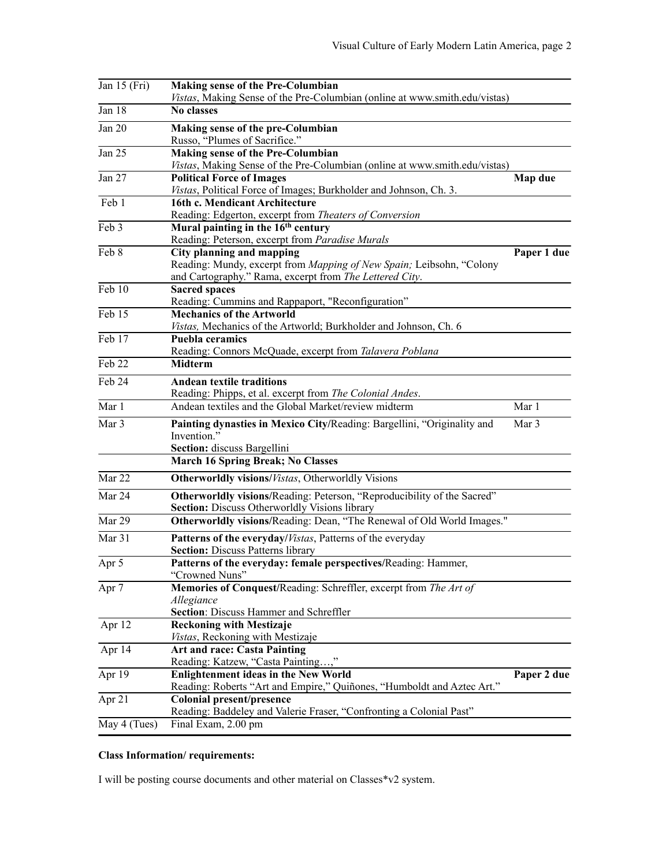| Jan $15$ (Fri)             | <b>Making sense of the Pre-Columbian</b><br>Vistas, Making Sense of the Pre-Columbian (online at www.smith.edu/vistas) |             |
|----------------------------|------------------------------------------------------------------------------------------------------------------------|-------------|
| Jan 18                     | <b>No classes</b>                                                                                                      |             |
| Jan 20                     | Making sense of the pre-Columbian                                                                                      |             |
|                            | Russo, "Plumes of Sacrifice."                                                                                          |             |
| Jan 25                     | Making sense of the Pre-Columbian                                                                                      |             |
|                            | Vistas, Making Sense of the Pre-Columbian (online at www.smith.edu/vistas)                                             |             |
| Jan 27                     | <b>Political Force of Images</b><br>Vistas, Political Force of Images; Burkholder and Johnson, Ch. 3.                  | Map due     |
| Feb 1                      | 16th c. Mendicant Architecture                                                                                         |             |
|                            | Reading: Edgerton, excerpt from Theaters of Conversion                                                                 |             |
| $\overline{\text{Feb }3}$  | Mural painting in the 16 <sup>th</sup> century                                                                         |             |
|                            | Reading: Peterson, excerpt from Paradise Murals                                                                        |             |
| Feb 8                      | <b>City planning and mapping</b>                                                                                       | Paper 1 due |
|                            | Reading: Mundy, excerpt from Mapping of New Spain; Leibsohn, "Colony                                                   |             |
|                            | and Cartography." Rama, excerpt from The Lettered City.                                                                |             |
| Feb 10                     | <b>Sacred spaces</b>                                                                                                   |             |
|                            | Reading: Cummins and Rappaport, "Reconfiguration"                                                                      |             |
| Feb 15                     | <b>Mechanics of the Artworld</b>                                                                                       |             |
|                            | Vistas, Mechanics of the Artworld; Burkholder and Johnson, Ch. 6                                                       |             |
| $\overline{\text{Feb }17}$ | <b>Puebla ceramics</b>                                                                                                 |             |
|                            | Reading: Connors McQuade, excerpt from Talavera Poblana                                                                |             |
| Feb 22                     | <b>Midterm</b>                                                                                                         |             |
| Feb 24                     | <b>Andean textile traditions</b>                                                                                       |             |
|                            | Reading: Phipps, et al. excerpt from The Colonial Andes.                                                               |             |
| Mar 1                      | Andean textiles and the Global Market/review midterm                                                                   | Mar 1       |
| Mar 3                      |                                                                                                                        |             |
|                            | Painting dynasties in Mexico City/Reading: Bargellini, "Originality and<br>Invention."                                 | Mar 3       |
|                            | Section: discuss Bargellini                                                                                            |             |
|                            | <b>March 16 Spring Break; No Classes</b>                                                                               |             |
|                            |                                                                                                                        |             |
| Mar 22                     | <b>Otherworldly visions/Vistas, Otherworldly Visions</b>                                                               |             |
| Mar 24                     | Otherworldly visions/Reading: Peterson, "Reproducibility of the Sacred"                                                |             |
|                            | <b>Section:</b> Discuss Otherworldly Visions library                                                                   |             |
| Mar 29                     | Otherworldly visions/Reading: Dean, "The Renewal of Old World Images."                                                 |             |
| Mar 31                     | Patterns of the everyday/Vistas, Patterns of the everyday                                                              |             |
|                            | <b>Section: Discuss Patterns library</b>                                                                               |             |
| Apr 5                      | Patterns of the everyday: female perspectives/Reading: Hammer,                                                         |             |
|                            | "Crowned Nuns"                                                                                                         |             |
| Apr 7                      | Memories of Conquest/Reading: Schreffler, excerpt from The Art of                                                      |             |
|                            | Allegiance                                                                                                             |             |
|                            | Section: Discuss Hammer and Schreffler                                                                                 |             |
| Apr 12                     | <b>Reckoning with Mestizaje</b>                                                                                        |             |
|                            | Vistas, Reckoning with Mestizaje                                                                                       |             |
| Apr $14$                   | <b>Art and race: Casta Painting</b>                                                                                    |             |
|                            | Reading: Katzew, "Casta Painting,"                                                                                     |             |
| Apr 19                     | <b>Enlightenment ideas in the New World</b>                                                                            | Paper 2 due |
|                            | Reading: Roberts "Art and Empire," Quiñones, "Humboldt and Aztec Art."                                                 |             |
| Apr 21                     | <b>Colonial present/presence</b>                                                                                       |             |
|                            | Reading: Baddeley and Valerie Fraser, "Confronting a Colonial Past"                                                    |             |
| May 4 (Tues)               | Final Exam, 2.00 pm                                                                                                    |             |

# **Class Information/ requirements:**

I will be posting course documents and other material on Classes\*v2 system.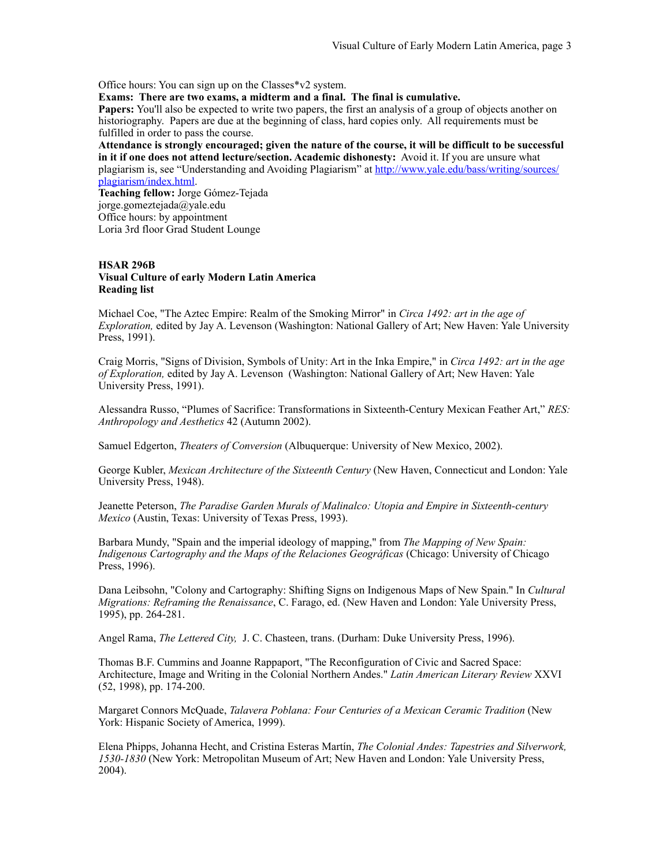Office hours: You can sign up on the Classes\*v2 system.

**Exams: There are two exams, a midterm and a final. The final is cumulative.** 

**Papers:** You'll also be expected to write two papers, the first an analysis of a group of objects another on historiography. Papers are due at the beginning of class, hard copies only. All requirements must be fulfilled in order to pass the course.

**Attendance is strongly encouraged; given the nature of the course, it will be difficult to be successful in it if one does not attend lecture/section. Academic dishonesty:** Avoid it. If you are unsure what plagiarism is, see "Understanding and Avoiding Plagiarism" at [http://www.yale.edu/bass/writing/sources/](http://www.yale.edu/bass/writing/sources/plagiarism/index.html) [plagiarism/index.html](http://www.yale.edu/bass/writing/sources/plagiarism/index.html).

**Teaching fellow:** Jorge Gómez-Tejada jorge.gomeztejada@yale.edu Office hours: by appointment Loria 3rd floor Grad Student Lounge

# **HSAR 296B Visual Culture of early Modern Latin America Reading list**

Michael Coe, "The Aztec Empire: Realm of the Smoking Mirror" in *Circa 1492: art in the age of Exploration,* edited by Jay A. Levenson (Washington: National Gallery of Art; New Haven: Yale University Press, 1991).

Craig Morris, "Signs of Division, Symbols of Unity: Art in the Inka Empire," in *Circa 1492: art in the age of Exploration,* edited by Jay A. Levenson (Washington: National Gallery of Art; New Haven: Yale University Press, 1991).

Alessandra Russo, "Plumes of Sacrifice: Transformations in Sixteenth-Century Mexican Feather Art," *RES: Anthropology and Aesthetics* 42 (Autumn 2002).

Samuel Edgerton, *Theaters of Conversion* (Albuquerque: University of New Mexico, 2002).

George Kubler, *Mexican Architecture of the Sixteenth Century* (New Haven, Connecticut and London: Yale University Press, 1948).

Jeanette Peterson, *The Paradise Garden Murals of Malinalco: Utopia and Empire in Sixteenth-century Mexico* (Austin, Texas: University of Texas Press, 1993).

Barbara Mundy, "Spain and the imperial ideology of mapping," from *The Mapping of New Spain: Indigenous Cartography and the Maps of the Relaciones Geográficas* (Chicago: University of Chicago Press, 1996).

Dana Leibsohn, "Colony and Cartography: Shifting Signs on Indigenous Maps of New Spain." In *Cultural Migrations: Reframing the Renaissance*, C. Farago, ed. (New Haven and London: Yale University Press, 1995), pp. 264-281.

Angel Rama, *The Lettered City,* J. C. Chasteen, trans. (Durham: Duke University Press, 1996).

Thomas B.F. Cummins and Joanne Rappaport, "The Reconfiguration of Civic and Sacred Space: Architecture, Image and Writing in the Colonial Northern Andes." *Latin American Literary Review* XXVI (52, 1998), pp. 174-200.

Margaret Connors McQuade, *Talavera Poblana: Four Centuries of a Mexican Ceramic Tradition* (New York: Hispanic Society of America, 1999).

Elena Phipps, Johanna Hecht, and Cristina Esteras Martín, *The Colonial Andes: Tapestries and Silverwork, 1530-1830* (New York: Metropolitan Museum of Art; New Haven and London: Yale University Press, 2004).